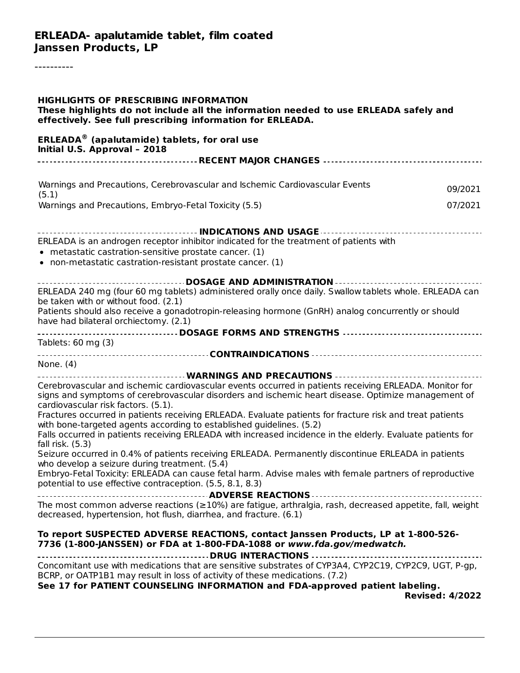----------

| <b>HIGHLIGHTS OF PRESCRIBING INFORMATION</b><br>These highlights do not include all the information needed to use ERLEADA safely and<br>effectively. See full prescribing information for ERLEADA.                                                  |  |
|-----------------------------------------------------------------------------------------------------------------------------------------------------------------------------------------------------------------------------------------------------|--|
| <b>ERLEADA<sup>®</sup></b> (apalutamide) tablets, for oral use<br>Initial U.S. Approval - 2018                                                                                                                                                      |  |
|                                                                                                                                                                                                                                                     |  |
| Warnings and Precautions, Cerebrovascular and Ischemic Cardiovascular Events<br>09/2021<br>(5.1)                                                                                                                                                    |  |
| Warnings and Precautions, Embryo-Fetal Toxicity (5.5)<br>07/2021                                                                                                                                                                                    |  |
|                                                                                                                                                                                                                                                     |  |
| ERLEADA is an androgen receptor inhibitor indicated for the treatment of patients with<br>• metastatic castration-sensitive prostate cancer. (1)<br>• non-metastatic castration-resistant prostate cancer. (1)                                      |  |
| _____________________________________DOSAGE AND ADMINISTRATION -----------------------------------                                                                                                                                                  |  |
| ERLEADA 240 mg (four 60 mg tablets) administered orally once daily. Swallow tablets whole. ERLEADA can<br>be taken with or without food. (2.1)                                                                                                      |  |
| Patients should also receive a gonadotropin-releasing hormone (GnRH) analog concurrently or should<br>have had bilateral orchiectomy. (2.1)                                                                                                         |  |
| Tablets: 60 mg (3)                                                                                                                                                                                                                                  |  |
|                                                                                                                                                                                                                                                     |  |
| None. $(4)$                                                                                                                                                                                                                                         |  |
| ___________________________________WARNINGS AND PRECAUTIONS ___________________________                                                                                                                                                             |  |
| Cerebrovascular and ischemic cardiovascular events occurred in patients receiving ERLEADA. Monitor for<br>signs and symptoms of cerebrovascular disorders and ischemic heart disease. Optimize management of<br>cardiovascular risk factors. (5.1). |  |
| Fractures occurred in patients receiving ERLEADA. Evaluate patients for fracture risk and treat patients<br>with bone-targeted agents according to established guidelines. (5.2)                                                                    |  |
| Falls occurred in patients receiving ERLEADA with increased incidence in the elderly. Evaluate patients for                                                                                                                                         |  |
| fall risk. (5.3)<br>Seizure occurred in 0.4% of patients receiving ERLEADA. Permanently discontinue ERLEADA in patients                                                                                                                             |  |
| who develop a seizure during treatment. (5.4)<br>Embryo-Fetal Toxicity: ERLEADA can cause fetal harm. Advise males with female partners of reproductive                                                                                             |  |
| potential to use effective contraception. (5.5, 8.1, 8.3)                                                                                                                                                                                           |  |
|                                                                                                                                                                                                                                                     |  |
| The most common adverse reactions ( $\geq$ 10%) are fatigue, arthralgia, rash, decreased appetite, fall, weight<br>decreased, hypertension, hot flush, diarrhea, and fracture. (6.1)                                                                |  |
| To report SUSPECTED ADVERSE REACTIONS, contact Janssen Products, LP at 1-800-526-<br>7736 (1-800-JANSSEN) or FDA at 1-800-FDA-1088 or www.fda.gov/medwatch.                                                                                         |  |
| Concomitant use with medications that are sensitive substrates of CYP3A4, CYP2C19, CYP2C9, UGT, P-qp,<br>BCRP, or OATP1B1 may result in loss of activity of these medications. (7.2)                                                                |  |
| See 17 for PATIENT COUNSELING INFORMATION and FDA-approved patient labeling.<br><b>Revised: 4/2022</b>                                                                                                                                              |  |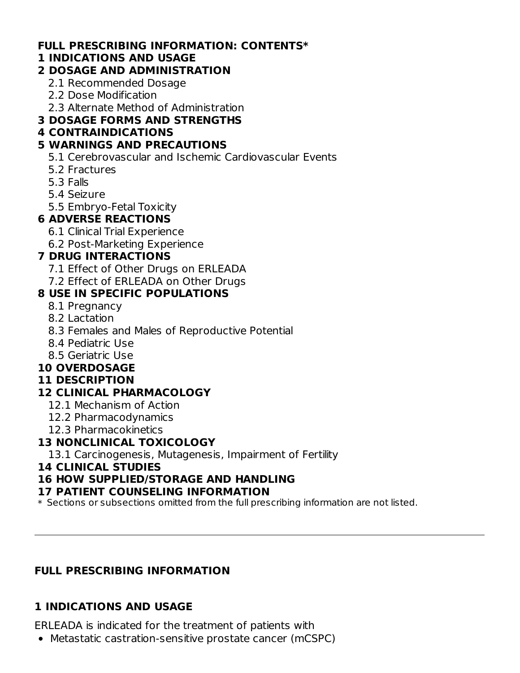#### **FULL PRESCRIBING INFORMATION: CONTENTS\***

#### **1 INDICATIONS AND USAGE**

#### **2 DOSAGE AND ADMINISTRATION**

- 2.1 Recommended Dosage
- 2.2 Dose Modification
- 2.3 Alternate Method of Administration

### **3 DOSAGE FORMS AND STRENGTHS**

### **4 CONTRAINDICATIONS**

### **5 WARNINGS AND PRECAUTIONS**

- 5.1 Cerebrovascular and Ischemic Cardiovascular Events
- 5.2 Fractures
- 5.3 Falls
- 5.4 Seizure
- 5.5 Embryo-Fetal Toxicity

### **6 ADVERSE REACTIONS**

- 6.1 Clinical Trial Experience
- 6.2 Post-Marketing Experience

### **7 DRUG INTERACTIONS**

- 7.1 Effect of Other Drugs on ERLEADA
- 7.2 Effect of ERLEADA on Other Drugs

### **8 USE IN SPECIFIC POPULATIONS**

- 8.1 Pregnancy
- 8.2 Lactation
- 8.3 Females and Males of Reproductive Potential
- 8.4 Pediatric Use
- 8.5 Geriatric Use

### **10 OVERDOSAGE**

#### **11 DESCRIPTION**

### **12 CLINICAL PHARMACOLOGY**

- 12.1 Mechanism of Action
- 12.2 Pharmacodynamics
- 12.3 Pharmacokinetics

### **13 NONCLINICAL TOXICOLOGY**

13.1 Carcinogenesis, Mutagenesis, Impairment of Fertility

#### **14 CLINICAL STUDIES**

### **16 HOW SUPPLIED/STORAGE AND HANDLING**

#### **17 PATIENT COUNSELING INFORMATION**

 $\ast$  Sections or subsections omitted from the full prescribing information are not listed.

### **FULL PRESCRIBING INFORMATION**

### **1 INDICATIONS AND USAGE**

ERLEADA is indicated for the treatment of patients with

Metastatic castration-sensitive prostate cancer (mCSPC)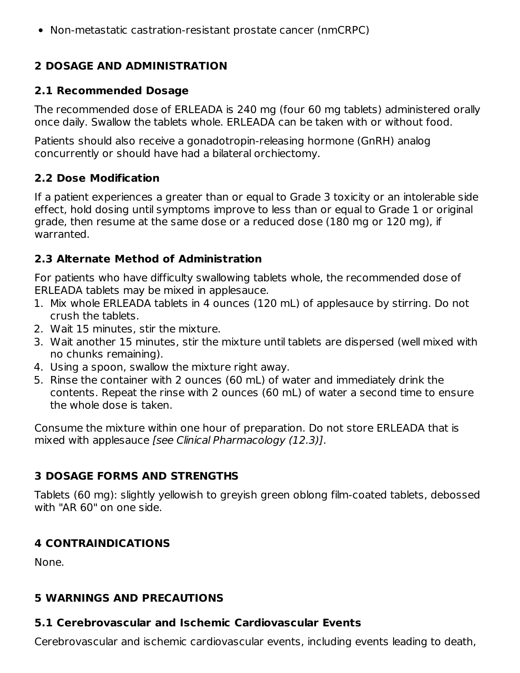Non-metastatic castration-resistant prostate cancer (nmCRPC)

#### **2 DOSAGE AND ADMINISTRATION**

#### **2.1 Recommended Dosage**

The recommended dose of ERLEADA is 240 mg (four 60 mg tablets) administered orally once daily. Swallow the tablets whole. ERLEADA can be taken with or without food.

Patients should also receive a gonadotropin-releasing hormone (GnRH) analog concurrently or should have had a bilateral orchiectomy.

#### **2.2 Dose Modification**

If a patient experiences a greater than or equal to Grade 3 toxicity or an intolerable side effect, hold dosing until symptoms improve to less than or equal to Grade 1 or original grade, then resume at the same dose or a reduced dose (180 mg or 120 mg), if warranted.

#### **2.3 Alternate Method of Administration**

For patients who have difficulty swallowing tablets whole, the recommended dose of ERLEADA tablets may be mixed in applesauce.

- 1. Mix whole ERLEADA tablets in 4 ounces (120 mL) of applesauce by stirring. Do not crush the tablets.
- 2. Wait 15 minutes, stir the mixture.
- 3. Wait another 15 minutes, stir the mixture until tablets are dispersed (well mixed with no chunks remaining).
- 4. Using a spoon, swallow the mixture right away.
- 5. Rinse the container with 2 ounces (60 mL) of water and immediately drink the contents. Repeat the rinse with 2 ounces (60 mL) of water a second time to ensure the whole dose is taken.

Consume the mixture within one hour of preparation. Do not store ERLEADA that is mixed with applesauce [see Clinical Pharmacology (12.3)].

#### **3 DOSAGE FORMS AND STRENGTHS**

Tablets (60 mg): slightly yellowish to greyish green oblong film-coated tablets, debossed with "AR 60" on one side.

### **4 CONTRAINDICATIONS**

None.

#### **5 WARNINGS AND PRECAUTIONS**

### **5.1 Cerebrovascular and Ischemic Cardiovascular Events**

Cerebrovascular and ischemic cardiovascular events, including events leading to death,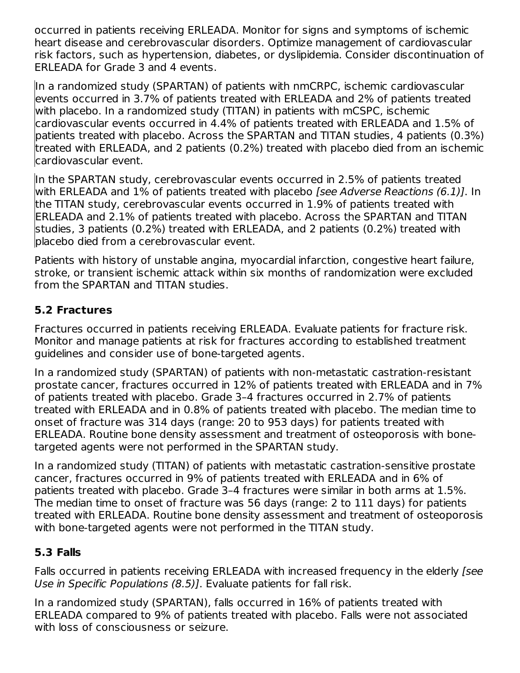occurred in patients receiving ERLEADA. Monitor for signs and symptoms of ischemic heart disease and cerebrovascular disorders. Optimize management of cardiovascular risk factors, such as hypertension, diabetes, or dyslipidemia. Consider discontinuation of ERLEADA for Grade 3 and 4 events.

In a randomized study (SPARTAN) of patients with nmCRPC, ischemic cardiovascular events occurred in 3.7% of patients treated with ERLEADA and 2% of patients treated with placebo. In a randomized study (TITAN) in patients with mCSPC, ischemic cardiovascular events occurred in 4.4% of patients treated with ERLEADA and 1.5% of patients treated with placebo. Across the SPARTAN and TITAN studies, 4 patients (0.3%) treated with ERLEADA, and 2 patients (0.2%) treated with placebo died from an ischemic cardiovascular event.

In the SPARTAN study, cerebrovascular events occurred in 2.5% of patients treated with ERLEADA and 1% of patients treated with placebo *[see Adverse Reactions (6.1)]*. In the TITAN study, cerebrovascular events occurred in 1.9% of patients treated with ERLEADA and 2.1% of patients treated with placebo. Across the SPARTAN and TITAN studies, 3 patients (0.2%) treated with ERLEADA, and 2 patients (0.2%) treated with placebo died from a cerebrovascular event.

Patients with history of unstable angina, myocardial infarction, congestive heart failure, stroke, or transient ischemic attack within six months of randomization were excluded from the SPARTAN and TITAN studies.

### **5.2 Fractures**

Fractures occurred in patients receiving ERLEADA. Evaluate patients for fracture risk. Monitor and manage patients at risk for fractures according to established treatment guidelines and consider use of bone-targeted agents.

In a randomized study (SPARTAN) of patients with non-metastatic castration-resistant prostate cancer, fractures occurred in 12% of patients treated with ERLEADA and in 7% of patients treated with placebo. Grade 3–4 fractures occurred in 2.7% of patients treated with ERLEADA and in 0.8% of patients treated with placebo. The median time to onset of fracture was 314 days (range: 20 to 953 days) for patients treated with ERLEADA. Routine bone density assessment and treatment of osteoporosis with bonetargeted agents were not performed in the SPARTAN study.

In a randomized study (TITAN) of patients with metastatic castration-sensitive prostate cancer, fractures occurred in 9% of patients treated with ERLEADA and in 6% of patients treated with placebo. Grade 3–4 fractures were similar in both arms at 1.5%. The median time to onset of fracture was 56 days (range: 2 to 111 days) for patients treated with ERLEADA. Routine bone density assessment and treatment of osteoporosis with bone-targeted agents were not performed in the TITAN study.

#### **5.3 Falls**

Falls occurred in patients receiving ERLEADA with increased frequency in the elderly [see Use in Specific Populations (8.5)]. Evaluate patients for fall risk.

In a randomized study (SPARTAN), falls occurred in 16% of patients treated with ERLEADA compared to 9% of patients treated with placebo. Falls were not associated with loss of consciousness or seizure.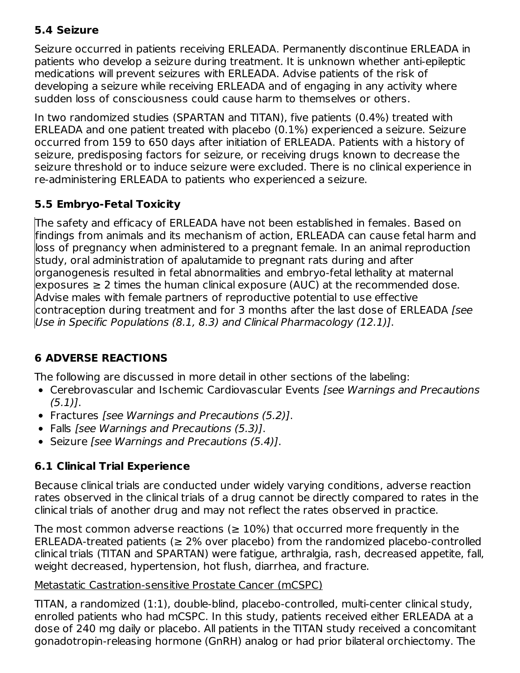### **5.4 Seizure**

Seizure occurred in patients receiving ERLEADA. Permanently discontinue ERLEADA in patients who develop a seizure during treatment. It is unknown whether anti-epileptic medications will prevent seizures with ERLEADA. Advise patients of the risk of developing a seizure while receiving ERLEADA and of engaging in any activity where sudden loss of consciousness could cause harm to themselves or others.

In two randomized studies (SPARTAN and TITAN), five patients (0.4%) treated with ERLEADA and one patient treated with placebo (0.1%) experienced a seizure. Seizure occurred from 159 to 650 days after initiation of ERLEADA. Patients with a history of seizure, predisposing factors for seizure, or receiving drugs known to decrease the seizure threshold or to induce seizure were excluded. There is no clinical experience in re-administering ERLEADA to patients who experienced a seizure.

### **5.5 Embryo-Fetal Toxicity**

The safety and efficacy of ERLEADA have not been established in females. Based on findings from animals and its mechanism of action, ERLEADA can cause fetal harm and loss of pregnancy when administered to a pregnant female. In an animal reproduction study, oral administration of apalutamide to pregnant rats during and after organogenesis resulted in fetal abnormalities and embryo-fetal lethality at maternal  $\epsilon$  exposures  $\geq 2$  times the human clinical exposure (AUC) at the recommended dose. Advise males with female partners of reproductive potential to use effective contraception during treatment and for 3 months after the last dose of ERLEADA [see Use in Specific Populations (8.1, 8.3) and Clinical Pharmacology (12.1)].

### **6 ADVERSE REACTIONS**

The following are discussed in more detail in other sections of the labeling:

- Cerebrovascular and Ischemic Cardiovascular Events [see Warnings and Precautions  $(5.1)$ .
- Fractures [see Warnings and Precautions (5.2)].
- Falls [see Warnings and Precautions (5.3)].
- Seizure [see Warnings and Precautions (5.4)].

### **6.1 Clinical Trial Experience**

Because clinical trials are conducted under widely varying conditions, adverse reaction rates observed in the clinical trials of a drug cannot be directly compared to rates in the clinical trials of another drug and may not reflect the rates observed in practice.

The most common adverse reactions ( $\geq 10\%$ ) that occurred more frequently in the ERLEADA-treated patients ( $\geq$  2% over placebo) from the randomized placebo-controlled clinical trials (TITAN and SPARTAN) were fatigue, arthralgia, rash, decreased appetite, fall, weight decreased, hypertension, hot flush, diarrhea, and fracture.

#### Metastatic Castration-sensitive Prostate Cancer (mCSPC)

TITAN, a randomized (1:1), double-blind, placebo-controlled, multi-center clinical study, enrolled patients who had mCSPC. In this study, patients received either ERLEADA at a dose of 240 mg daily or placebo. All patients in the TITAN study received a concomitant gonadotropin-releasing hormone (GnRH) analog or had prior bilateral orchiectomy. The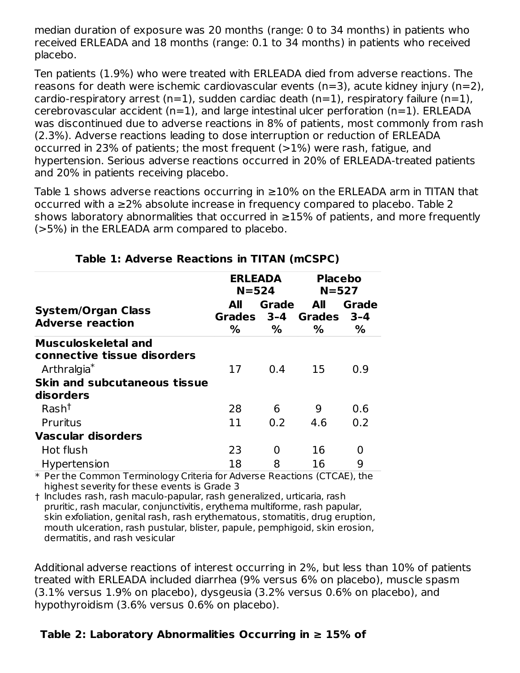median duration of exposure was 20 months (range: 0 to 34 months) in patients who received ERLEADA and 18 months (range: 0.1 to 34 months) in patients who received placebo.

Ten patients (1.9%) who were treated with ERLEADA died from adverse reactions. The reasons for death were ischemic cardiovascular events (n=3), acute kidney injury (n=2), cardio-respiratory arrest (n=1), sudden cardiac death (n=1), respiratory failure (n=1), cerebrovascular accident (n=1), and large intestinal ulcer perforation (n=1). ERLEADA was discontinued due to adverse reactions in 8% of patients, most commonly from rash (2.3%). Adverse reactions leading to dose interruption or reduction of ERLEADA occurred in 23% of patients; the most frequent  $(>1%)$  were rash, fatigue, and hypertension. Serious adverse reactions occurred in 20% of ERLEADA-treated patients and 20% in patients receiving placebo.

Table 1 shows adverse reactions occurring in ≥10% on the ERLEADA arm in TITAN that occurred with a ≥2% absolute increase in frequency compared to placebo. Table 2 shows laboratory abnormalities that occurred in ≥15% of patients, and more frequently (>5%) in the ERLEADA arm compared to placebo.

|                                                                                      | ERLEADA<br>$N = 524$ |                       | <b>Placebo</b><br>$N = 527$ |                          |
|--------------------------------------------------------------------------------------|----------------------|-----------------------|-----------------------------|--------------------------|
| <b>System/Organ Class</b><br><b>Adverse reaction</b>                                 | All<br>Grades<br>%   | Grade<br>$3 - 4$<br>% | All<br>Grades<br>%          | <b>Grade</b><br>3-4<br>% |
| <b>Musculoskeletal and</b><br>connective tissue disorders<br>Arthralgia <sup>*</sup> | 17                   | 0.4                   | 15                          | 0.9                      |
| <b>Skin and subcutaneous tissue</b><br>disorders                                     |                      |                       |                             |                          |
| Rash <sup>†</sup>                                                                    | 28                   | 6                     | 9                           | 0.6                      |
| Pruritus                                                                             | 11                   | 0.2                   | 4.6                         | 0.2                      |
| Vascular disorders                                                                   |                      |                       |                             |                          |
| Hot flush                                                                            | 23                   | O                     | 16                          | O                        |
| Hypertension                                                                         | 18                   | 8                     | 16                          | 9                        |

#### **Table 1: Adverse Reactions in TITAN (mCSPC)**

\* Per the Common Terminology Criteria for Adverse Reactions (CTCAE), the highest severity for these events is Grade 3

† Includes rash, rash maculo-papular, rash generalized, urticaria, rash pruritic, rash macular, conjunctivitis, erythema multiforme, rash papular, skin exfoliation, genital rash, rash erythematous, stomatitis, drug eruption, mouth ulceration, rash pustular, blister, papule, pemphigoid, skin erosion, dermatitis, and rash vesicular

Additional adverse reactions of interest occurring in 2%, but less than 10% of patients treated with ERLEADA included diarrhea (9% versus 6% on placebo), muscle spasm (3.1% versus 1.9% on placebo), dysgeusia (3.2% versus 0.6% on placebo), and hypothyroidism (3.6% versus 0.6% on placebo).

### **Table 2: Laboratory Abnormalities Occurring in ≥ 15% of**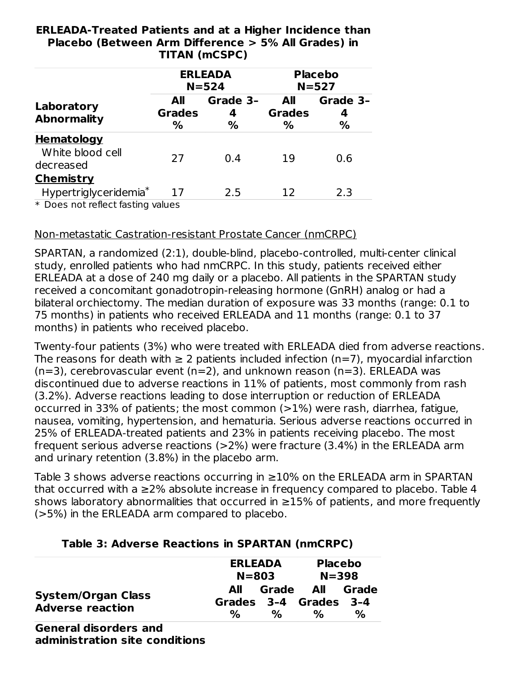#### **ERLEADA-Treated Patients and at a Higher Incidence than Placebo (Between Arm Difference > 5% All Grades) in TITAN (mCSPC)**

|                                                       | <b>ERLEADA</b><br>$N = 524$ |                       |                           | <b>Placebo</b><br>$N = 527$    |
|-------------------------------------------------------|-----------------------------|-----------------------|---------------------------|--------------------------------|
| Laboratory<br><b>Abnormality</b>                      | All<br><b>Grades</b><br>%   | Grade 3-<br>4<br>$\%$ | All<br><b>Grades</b><br>℅ | Grade 3-<br>4<br>$\frac{0}{0}$ |
| <b>Hematology</b><br>White blood cell<br>decreased    | 27                          | 0.4                   | 19                        | 0.6                            |
| <b>Chemistry</b><br>Hypertriglyceridemia <sup>*</sup> | 17                          | 2.5                   | 12                        | 2.3                            |

\* Does not reflect fasting values

#### Non-metastatic Castration-resistant Prostate Cancer (nmCRPC)

SPARTAN, a randomized (2:1), double-blind, placebo-controlled, multi-center clinical study, enrolled patients who had nmCRPC. In this study, patients received either ERLEADA at a dose of 240 mg daily or a placebo. All patients in the SPARTAN study received a concomitant gonadotropin-releasing hormone (GnRH) analog or had a bilateral orchiectomy. The median duration of exposure was 33 months (range: 0.1 to 75 months) in patients who received ERLEADA and 11 months (range: 0.1 to 37 months) in patients who received placebo.

Twenty-four patients (3%) who were treated with ERLEADA died from adverse reactions. The reasons for death with  $\geq 2$  patients included infection (n=7), myocardial infarction  $(n=3)$ , cerebrovascular event  $(n=2)$ , and unknown reason  $(n=3)$ . ERLEADA was discontinued due to adverse reactions in 11% of patients, most commonly from rash (3.2%). Adverse reactions leading to dose interruption or reduction of ERLEADA occurred in 33% of patients; the most common (>1%) were rash, diarrhea, fatigue, nausea, vomiting, hypertension, and hematuria. Serious adverse reactions occurred in 25% of ERLEADA-treated patients and 23% in patients receiving placebo. The most frequent serious adverse reactions (>2%) were fracture (3.4%) in the ERLEADA arm and urinary retention (3.8%) in the placebo arm.

Table 3 shows adverse reactions occurring in ≥10% on the ERLEADA arm in SPARTAN that occurred with a ≥2% absolute increase in frequency compared to placebo. Table 4 shows laboratory abnormalities that occurred in ≥15% of patients, and more frequently (>5%) in the ERLEADA arm compared to placebo.

|                                                      | <b>Placebo</b><br><b>ERLEADA</b><br>$N = 398$<br>$N = 803$                                      |
|------------------------------------------------------|-------------------------------------------------------------------------------------------------|
| <b>System/Organ Class</b><br><b>Adverse reaction</b> | <b>All</b><br>Grade<br>All<br>Grade<br>Grades 3-4 Grades 3-4<br>%<br>$\%$<br>℅<br>$\frac{1}{2}$ |

#### **Table 3: Adverse Reactions in SPARTAN (nmCRPC)**

**General disorders and administration site conditions**

\*,†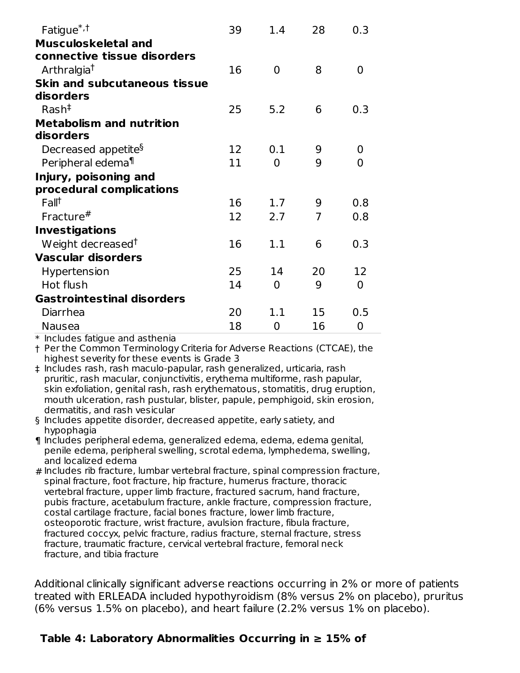| Fatigue <sup>*,†</sup>              | 39 | 1.4            | 28 | 0.3      |
|-------------------------------------|----|----------------|----|----------|
| <b>Musculoskeletal and</b>          |    |                |    |          |
| connective tissue disorders         |    |                |    |          |
| Arthralgia <sup>†</sup>             | 16 | $\Omega$       | 8  | 0        |
| <b>Skin and subcutaneous tissue</b> |    |                |    |          |
| disorders                           |    |                |    |          |
| $Rash^{\ddagger}$                   | 25 | 5.2            | 6  | 0.3      |
| <b>Metabolism and nutrition</b>     |    |                |    |          |
| disorders                           |    |                |    |          |
| Decreased appetite <sup>§</sup>     | 12 | 0.1            | 9  | 0        |
| Peripheral edema <sup>¶</sup>       | 11 | $\overline{0}$ | 9  | $\Omega$ |
| Injury, poisoning and               |    |                |    |          |
| procedural complications            |    |                |    |          |
| Fall <sup>†</sup>                   | 16 | 1.7            | 9  | 0.8      |
| Fracture $#$                        | 12 | 2.7            | 7  | 0.8      |
| <b>Investigations</b>               |    |                |    |          |
| Weight decreased <sup>†</sup>       | 16 | 1.1            | 6  | 0.3      |
| <b>Vascular disorders</b>           |    |                |    |          |
| Hypertension                        | 25 | 14             | 20 | 12       |
| Hot flush                           | 14 | 0              | 9  | $\Omega$ |
| <b>Gastrointestinal disorders</b>   |    |                |    |          |
| Diarrhea                            | 20 | 1.1            | 15 | 0.5      |
| Nausea                              | 18 | 0              | 16 | 0        |

 $\ast$  Includes fatigue and asthenia

† Per the Common Terminology Criteria for Adverse Reactions (CTCAE), the highest severity for these events is Grade 3

- ‡ Includes rash, rash maculo-papular, rash generalized, urticaria, rash pruritic, rash macular, conjunctivitis, erythema multiforme, rash papular, skin exfoliation, genital rash, rash erythematous, stomatitis, drug eruption, mouth ulceration, rash pustular, blister, papule, pemphigoid, skin erosion, dermatitis, and rash vesicular
- § Includes appetite disorder, decreased appetite, early satiety, and hypophagia
- ¶ Includes peripheral edema, generalized edema, edema, edema genital, penile edema, peripheral swelling, scrotal edema, lymphedema, swelling, and localized edema
- # Includes rib fracture, lumbar vertebral fracture, spinal compression fracture, spinal fracture, foot fracture, hip fracture, humerus fracture, thoracic vertebral fracture, upper limb fracture, fractured sacrum, hand fracture, pubis fracture, acetabulum fracture, ankle fracture, compression fracture, costal cartilage fracture, facial bones fracture, lower limb fracture, osteoporotic fracture, wrist fracture, avulsion fracture, fibula fracture, fractured coccyx, pelvic fracture, radius fracture, sternal fracture, stress fracture, traumatic fracture, cervical vertebral fracture, femoral neck fracture, and tibia fracture

Additional clinically significant adverse reactions occurring in 2% or more of patients treated with ERLEADA included hypothyroidism (8% versus 2% on placebo), pruritus (6% versus 1.5% on placebo), and heart failure (2.2% versus 1% on placebo).

#### **Table 4: Laboratory Abnormalities Occurring in ≥ 15% of**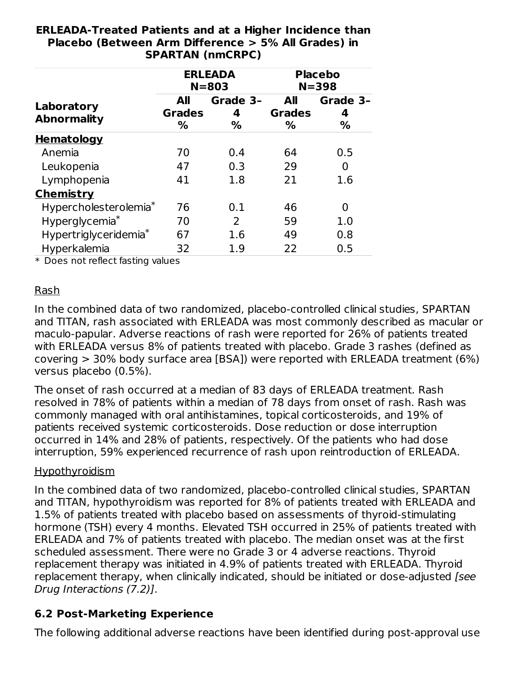| <b>SPARTAN (nmCRPC)</b>           |                           |                             |                                  |                             |  |
|-----------------------------------|---------------------------|-----------------------------|----------------------------------|-----------------------------|--|
|                                   |                           | <b>ERLEADA</b><br>$N = 803$ |                                  | <b>Placebo</b><br>$N = 398$ |  |
| Laboratory<br><b>Abnormality</b>  | All<br><b>Grades</b><br>% | Grade 3-<br>4<br>%          | <b>All</b><br><b>Grades</b><br>% | Grade 3-<br>4<br>%          |  |
| <b>Hematology</b>                 |                           |                             |                                  |                             |  |
| Anemia                            | 70                        | 0.4                         | 64                               | 0.5                         |  |
| Leukopenia                        | 47                        | 0.3                         | 29                               | 0                           |  |
| Lymphopenia                       | 41                        | 1.8                         | 21                               | 1.6                         |  |
| <b>Chemistry</b>                  |                           |                             |                                  |                             |  |
| Hypercholesterolemia <sup>*</sup> | 76                        | 0.1                         | 46                               | 0                           |  |
| Hyperglycemia*                    | 70                        | 2                           | 59                               | 1.0                         |  |
| Hypertriglyceridemia <sup>*</sup> | 67                        | 1.6                         | 49                               | 0.8                         |  |
| Hyperkalemia                      | 32                        | 1.9                         | 22                               | 0.5                         |  |

# **ERLEADA-Treated Patients and at a Higher Incidence than Placebo (Between Arm Difference > 5% All Grades) in**

\* Does not reflect fasting values

#### Rash

In the combined data of two randomized, placebo-controlled clinical studies, SPARTAN and TITAN, rash associated with ERLEADA was most commonly described as macular or maculo-papular. Adverse reactions of rash were reported for 26% of patients treated with ERLEADA versus 8% of patients treated with placebo. Grade 3 rashes (defined as covering > 30% body surface area [BSA]) were reported with ERLEADA treatment (6%) versus placebo (0.5%).

The onset of rash occurred at a median of 83 days of ERLEADA treatment. Rash resolved in 78% of patients within a median of 78 days from onset of rash. Rash was commonly managed with oral antihistamines, topical corticosteroids, and 19% of patients received systemic corticosteroids. Dose reduction or dose interruption occurred in 14% and 28% of patients, respectively. Of the patients who had dose interruption, 59% experienced recurrence of rash upon reintroduction of ERLEADA.

#### Hypothyroidism

In the combined data of two randomized, placebo-controlled clinical studies, SPARTAN and TITAN, hypothyroidism was reported for 8% of patients treated with ERLEADA and 1.5% of patients treated with placebo based on assessments of thyroid-stimulating hormone (TSH) every 4 months. Elevated TSH occurred in 25% of patients treated with ERLEADA and 7% of patients treated with placebo. The median onset was at the first scheduled assessment. There were no Grade 3 or 4 adverse reactions. Thyroid replacement therapy was initiated in 4.9% of patients treated with ERLEADA. Thyroid replacement therapy, when clinically indicated, should be initiated or dose-adjusted [see Drug Interactions (7.2)].

#### **6.2 Post-Marketing Experience**

The following additional adverse reactions have been identified during post-approval use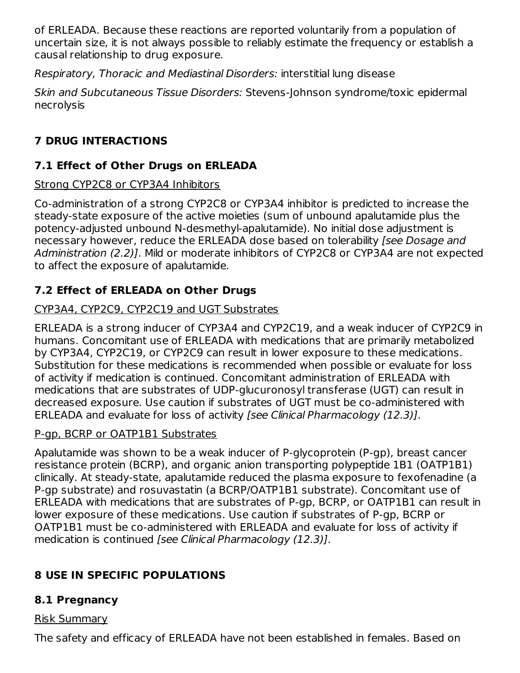of ERLEADA. Because these reactions are reported voluntarily from a population of uncertain size, it is not always possible to reliably estimate the frequency or establish a causal relationship to drug exposure.

Respiratory, Thoracic and Mediastinal Disorders: interstitial lung disease

Skin and Subcutaneous Tissue Disorders: Stevens-Johnson syndrome/toxic epidermal necrolysis

### **7 DRUG INTERACTIONS**

### **7.1 Effect of Other Drugs on ERLEADA**

### Strong CYP2C8 or CYP3A4 Inhibitors

Co-administration of a strong CYP2C8 or CYP3A4 inhibitor is predicted to increase the steady-state exposure of the active moieties (sum of unbound apalutamide plus the potency-adjusted unbound N-desmethyl-apalutamide). No initial dose adjustment is necessary however, reduce the ERLEADA dose based on tolerability [see Dosage and Administration (2.2)]. Mild or moderate inhibitors of CYP2C8 or CYP3A4 are not expected to affect the exposure of apalutamide.

### **7.2 Effect of ERLEADA on Other Drugs**

### CYP3A4, CYP2C9, CYP2C19 and UGT Substrates

ERLEADA is a strong inducer of CYP3A4 and CYP2C19, and a weak inducer of CYP2C9 in humans. Concomitant use of ERLEADA with medications that are primarily metabolized by CYP3A4, CYP2C19, or CYP2C9 can result in lower exposure to these medications. Substitution for these medications is recommended when possible or evaluate for loss of activity if medication is continued. Concomitant administration of ERLEADA with medications that are substrates of UDP-glucuronosyl transferase (UGT) can result in decreased exposure. Use caution if substrates of UGT must be co-administered with ERLEADA and evaluate for loss of activity [see Clinical Pharmacology (12.3)].

#### P-gp, BCRP or OATP1B1 Substrates

Apalutamide was shown to be a weak inducer of P-glycoprotein (P-gp), breast cancer resistance protein (BCRP), and organic anion transporting polypeptide 1B1 (OATP1B1) clinically. At steady-state, apalutamide reduced the plasma exposure to fexofenadine (a P-gp substrate) and rosuvastatin (a BCRP/OATP1B1 substrate). Concomitant use of ERLEADA with medications that are substrates of P-gp, BCRP, or OATP1B1 can result in lower exposure of these medications. Use caution if substrates of P-gp, BCRP or OATP1B1 must be co-administered with ERLEADA and evaluate for loss of activity if medication is continued [see Clinical Pharmacology (12.3)].

### **8 USE IN SPECIFIC POPULATIONS**

### **8.1 Pregnancy**

#### Risk Summary

The safety and efficacy of ERLEADA have not been established in females. Based on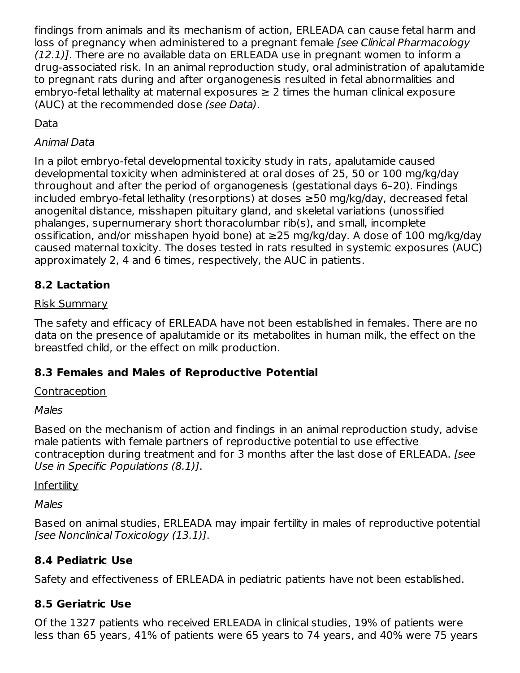findings from animals and its mechanism of action, ERLEADA can cause fetal harm and loss of pregnancy when administered to a pregnant female [see Clinical Pharmacology (12.1)]. There are no available data on ERLEADA use in pregnant women to inform a drug-associated risk. In an animal reproduction study, oral administration of apalutamide to pregnant rats during and after organogenesis resulted in fetal abnormalities and embryo-fetal lethality at maternal exposures  $\geq 2$  times the human clinical exposure (AUC) at the recommended dose (see Data).

### Data

### Animal Data

In a pilot embryo-fetal developmental toxicity study in rats, apalutamide caused developmental toxicity when administered at oral doses of 25, 50 or 100 mg/kg/day throughout and after the period of organogenesis (gestational days 6–20). Findings included embryo-fetal lethality (resorptions) at doses ≥50 mg/kg/day, decreased fetal anogenital distance, misshapen pituitary gland, and skeletal variations (unossified phalanges, supernumerary short thoracolumbar rib(s), and small, incomplete ossification, and/or misshapen hyoid bone) at ≥25 mg/kg/day. A dose of 100 mg/kg/day caused maternal toxicity. The doses tested in rats resulted in systemic exposures (AUC) approximately 2, 4 and 6 times, respectively, the AUC in patients.

### **8.2 Lactation**

### Risk Summary

The safety and efficacy of ERLEADA have not been established in females. There are no data on the presence of apalutamide or its metabolites in human milk, the effect on the breastfed child, or the effect on milk production.

### **8.3 Females and Males of Reproductive Potential**

#### Contraception

### Males

Based on the mechanism of action and findings in an animal reproduction study, advise male patients with female partners of reproductive potential to use effective contraception during treatment and for 3 months after the last dose of ERLEADA. [see Use in Specific Populations (8.1)].

### **Infertility**

Males

Based on animal studies, ERLEADA may impair fertility in males of reproductive potential [see Nonclinical Toxicology (13.1)].

### **8.4 Pediatric Use**

Safety and effectiveness of ERLEADA in pediatric patients have not been established.

### **8.5 Geriatric Use**

Of the 1327 patients who received ERLEADA in clinical studies, 19% of patients were less than 65 years, 41% of patients were 65 years to 74 years, and 40% were 75 years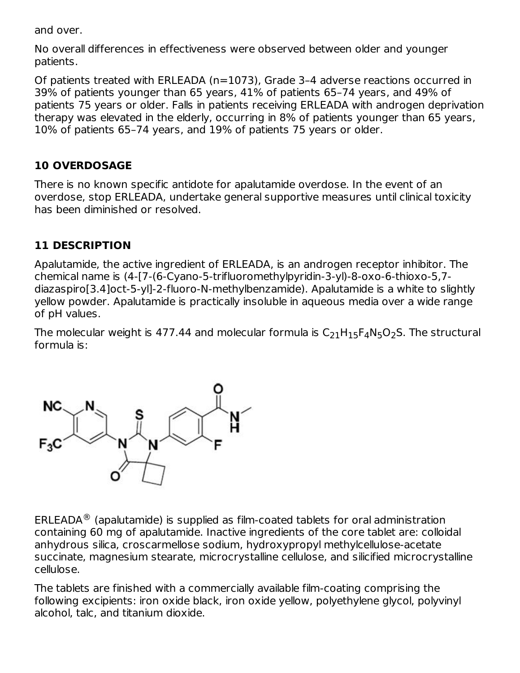and over.

No overall differences in effectiveness were observed between older and younger patients.

Of patients treated with ERLEADA (n=1073), Grade 3–4 adverse reactions occurred in 39% of patients younger than 65 years, 41% of patients 65–74 years, and 49% of patients 75 years or older. Falls in patients receiving ERLEADA with androgen deprivation therapy was elevated in the elderly, occurring in 8% of patients younger than 65 years, 10% of patients 65–74 years, and 19% of patients 75 years or older.

### **10 OVERDOSAGE**

There is no known specific antidote for apalutamide overdose. In the event of an overdose, stop ERLEADA, undertake general supportive measures until clinical toxicity has been diminished or resolved.

### **11 DESCRIPTION**

Apalutamide, the active ingredient of ERLEADA, is an androgen receptor inhibitor. The chemical name is (4-[7-(6-Cyano-5-trifluoromethylpyridin-3-yl)-8-oxo-6-thioxo-5,7 diazaspiro[3.4]oct-5-yl]-2-fluoro-N-methylbenzamide). Apalutamide is a white to slightly yellow powder. Apalutamide is practically insoluble in aqueous media over a wide range of pH values.

The molecular weight is 477.44 and molecular formula is  $\mathsf{C}_{21}\mathsf{H}_{15}\mathsf{F}_{4}\mathsf{N}_{5}\mathsf{O}_{2}\mathsf{S}.$  The structural formula is:



ERLEADA $^{\circledR}$  (apalutamide) is supplied as film-coated tablets for oral administration containing 60 mg of apalutamide. Inactive ingredients of the core tablet are: colloidal anhydrous silica, croscarmellose sodium, hydroxypropyl methylcellulose-acetate succinate, magnesium stearate, microcrystalline cellulose, and silicified microcrystalline cellulose.

The tablets are finished with a commercially available film-coating comprising the following excipients: iron oxide black, iron oxide yellow, polyethylene glycol, polyvinyl alcohol, talc, and titanium dioxide.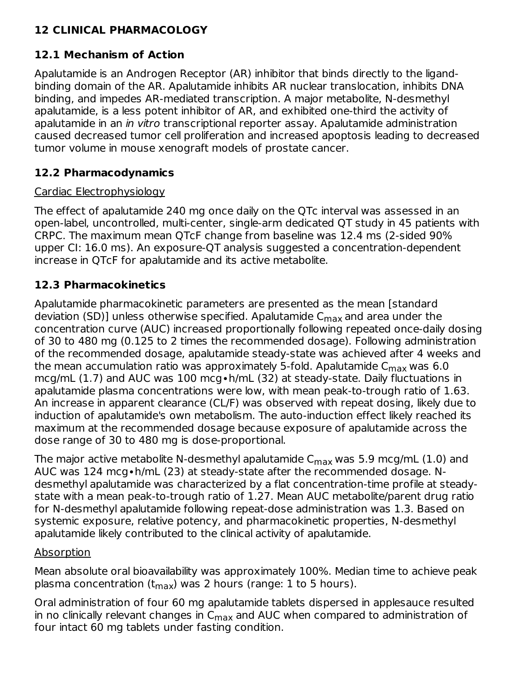### **12 CLINICAL PHARMACOLOGY**

### **12.1 Mechanism of Action**

Apalutamide is an Androgen Receptor (AR) inhibitor that binds directly to the ligandbinding domain of the AR. Apalutamide inhibits AR nuclear translocation, inhibits DNA binding, and impedes AR-mediated transcription. A major metabolite, N-desmethyl apalutamide, is a less potent inhibitor of AR, and exhibited one-third the activity of apalutamide in an in vitro transcriptional reporter assay. Apalutamide administration caused decreased tumor cell proliferation and increased apoptosis leading to decreased tumor volume in mouse xenograft models of prostate cancer.

### **12.2 Pharmacodynamics**

#### Cardiac Electrophysiology

The effect of apalutamide 240 mg once daily on the QTc interval was assessed in an open-label, uncontrolled, multi-center, single-arm dedicated QT study in 45 patients with CRPC. The maximum mean QTcF change from baseline was 12.4 ms (2-sided 90% upper CI: 16.0 ms). An exposure-QT analysis suggested a concentration-dependent increase in QTcF for apalutamide and its active metabolite.

### **12.3 Pharmacokinetics**

Apalutamide pharmacokinetic parameters are presented as the mean [standard deviation (SD)] unless otherwise specified. Apalutamide C<sub>max</sub> and area under the concentration curve (AUC) increased proportionally following repeated once-daily dosing of 30 to 480 mg (0.125 to 2 times the recommended dosage). Following administration of the recommended dosage, apalutamide steady-state was achieved after 4 weeks and the mean accumulation ratio was approximately 5-fold. Apalutamide C<sub>max</sub> was 6.0 mcg/mL (1.7) and AUC was 100 mcg∙h/mL (32) at steady-state. Daily fluctuations in apalutamide plasma concentrations were low, with mean peak-to-trough ratio of 1.63. An increase in apparent clearance (CL/F) was observed with repeat dosing, likely due to induction of apalutamide's own metabolism. The auto-induction effect likely reached its maximum at the recommended dosage because exposure of apalutamide across the dose range of 30 to 480 mg is dose-proportional.

The major active metabolite N-desmethyl apalutamide  $\mathsf{C}_{\mathsf{max}}$  was 5.9 mcg/mL (1.0) and AUC was 124 mcg∙h/mL (23) at steady-state after the recommended dosage. Ndesmethyl apalutamide was characterized by a flat concentration-time profile at steadystate with a mean peak-to-trough ratio of 1.27. Mean AUC metabolite/parent drug ratio for N-desmethyl apalutamide following repeat-dose administration was 1.3. Based on systemic exposure, relative potency, and pharmacokinetic properties, N-desmethyl apalutamide likely contributed to the clinical activity of apalutamide.

#### Absorption

Mean absolute oral bioavailability was approximately 100%. Median time to achieve peak plasma concentration (t<sub>max</sub>) was 2 hours (range: 1 to 5 hours).

Oral administration of four 60 mg apalutamide tablets dispersed in applesauce resulted in no clinically relevant changes in  $\mathsf{C}_{\mathsf{max}}$  and AUC when compared to administration of four intact 60 mg tablets under fasting condition.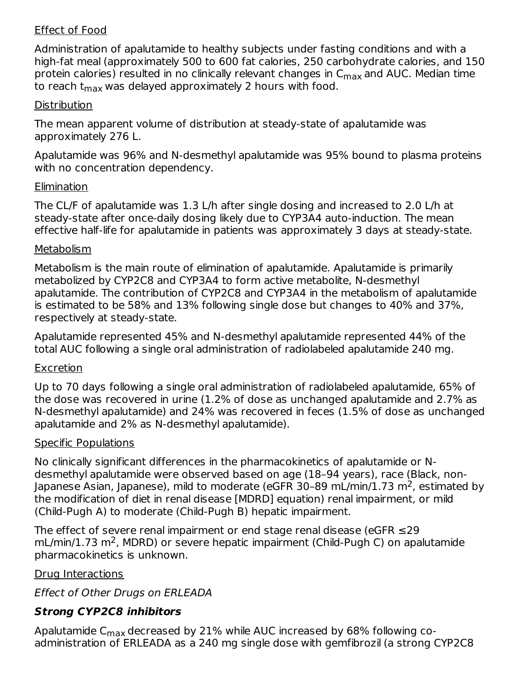#### Effect of Food

Administration of apalutamide to healthy subjects under fasting conditions and with a high-fat meal (approximately 500 to 600 fat calories, 250 carbohydrate calories, and 150 protein calories) resulted in no clinically relevant changes in C<sub>max</sub> and AUC. Median time to reach t<sub>max</sub> was delayed approximately 2 hours with food.

#### **Distribution**

The mean apparent volume of distribution at steady-state of apalutamide was approximately 276 L.

Apalutamide was 96% and N-desmethyl apalutamide was 95% bound to plasma proteins with no concentration dependency.

#### **Elimination**

The CL/F of apalutamide was 1.3 L/h after single dosing and increased to 2.0 L/h at steady-state after once-daily dosing likely due to CYP3A4 auto-induction. The mean effective half-life for apalutamide in patients was approximately 3 days at steady-state.

#### Metabolism

Metabolism is the main route of elimination of apalutamide. Apalutamide is primarily metabolized by CYP2C8 and CYP3A4 to form active metabolite, N-desmethyl apalutamide. The contribution of CYP2C8 and CYP3A4 in the metabolism of apalutamide is estimated to be 58% and 13% following single dose but changes to 40% and 37%, respectively at steady-state.

Apalutamide represented 45% and N-desmethyl apalutamide represented 44% of the total AUC following a single oral administration of radiolabeled apalutamide 240 mg.

#### **Excretion**

Up to 70 days following a single oral administration of radiolabeled apalutamide, 65% of the dose was recovered in urine (1.2% of dose as unchanged apalutamide and 2.7% as N-desmethyl apalutamide) and 24% was recovered in feces (1.5% of dose as unchanged apalutamide and 2% as N-desmethyl apalutamide).

#### Specific Populations

No clinically significant differences in the pharmacokinetics of apalutamide or Ndesmethyl apalutamide were observed based on age (18–94 years), race (Black, non-Japanese Asian, Japanese), mild to moderate (eGFR 30-89 mL/min/1.73 m<sup>2</sup>, estimated by the modification of diet in renal disease [MDRD] equation) renal impairment, or mild (Child-Pugh A) to moderate (Child-Pugh B) hepatic impairment.

The effect of severe renal impairment or end stage renal disease (eGFR ≤29 mL/min/1.73 m<sup>2</sup>, MDRD) or severe hepatic impairment (Child-Pugh C) on apalutamide pharmacokinetics is unknown.

#### Drug Interactions

Effect of Other Drugs on ERLEADA

### **Strong CYP2C8 inhibitors**

Apalutamide C $_{\sf max}$  decreased by 21% while AUC increased by 68% following coadministration of ERLEADA as a 240 mg single dose with gemfibrozil (a strong CYP2C8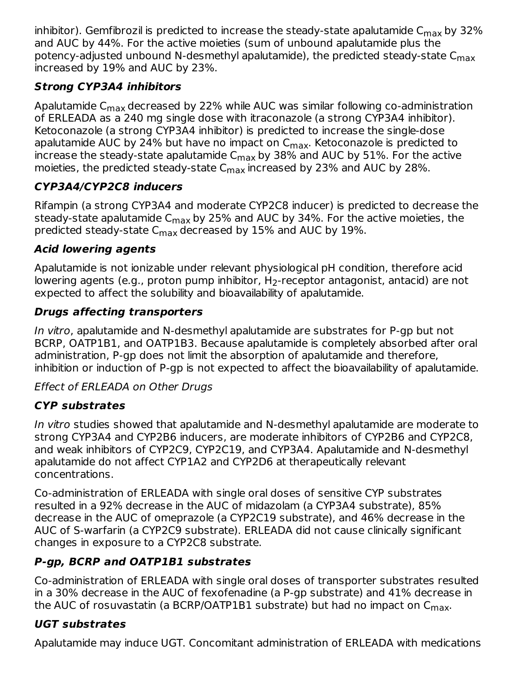inhibitor). Gemfibrozil is predicted to increase the steady-state apalutamide C $_{\sf max}$  by 32% and AUC by 44%. For the active moieties (sum of unbound apalutamide plus the potency-adjusted unbound N-desmethyl apalutamide), the predicted steady-state C<sub>max</sub> increased by 19% and AUC by 23%.

### **Strong CYP3A4 inhibitors**

Apalutamide C $_{\sf max}$ decreased by 22% while AUC was similar following co-administration of ERLEADA as a 240 mg single dose with itraconazole (a strong CYP3A4 inhibitor). Ketoconazole (a strong CYP3A4 inhibitor) is predicted to increase the single-dose apalutamide AUC by 24% but have no impact on C<sub>max</sub>. Ketoconazole is predicted to increase the steady-state apalutamide C $_{\sf max}$  by 38% and AUC by 51%. For the active moieties, the predicted steady-state  $\mathsf{C}_{\mathsf{max}}$  increased by 23% and AUC by 28%.

### **CYP3A4/CYP2C8 inducers**

Rifampin (a strong CYP3A4 and moderate CYP2C8 inducer) is predicted to decrease the steady-state apalutamide C<sub>max</sub> by 25% and AUC by 34%. For the active moieties, the predicted steady-state  $\mathsf{C}_{\mathsf{max}}$  decreased by 15% and AUC by 19%.

### **Acid lowering agents**

Apalutamide is not ionizable under relevant physiological pH condition, therefore acid lowering agents (e.g., proton pump inhibitor,  $H_2$ -receptor antagonist, antacid) are not expected to affect the solubility and bioavailability of apalutamide.

### **Drugs affecting transporters**

In vitro, apalutamide and N-desmethyl apalutamide are substrates for P-gp but not BCRP, OATP1B1, and OATP1B3. Because apalutamide is completely absorbed after oral administration, P-gp does not limit the absorption of apalutamide and therefore, inhibition or induction of P-gp is not expected to affect the bioavailability of apalutamide.

### Effect of ERLEADA on Other Drugs

### **CYP substrates**

In vitro studies showed that apalutamide and N-desmethyl apalutamide are moderate to strong CYP3A4 and CYP2B6 inducers, are moderate inhibitors of CYP2B6 and CYP2C8, and weak inhibitors of CYP2C9, CYP2C19, and CYP3A4. Apalutamide and N-desmethyl apalutamide do not affect CYP1A2 and CYP2D6 at therapeutically relevant concentrations.

Co-administration of ERLEADA with single oral doses of sensitive CYP substrates resulted in a 92% decrease in the AUC of midazolam (a CYP3A4 substrate), 85% decrease in the AUC of omeprazole (a CYP2C19 substrate), and 46% decrease in the AUC of S-warfarin (a CYP2C9 substrate). ERLEADA did not cause clinically significant changes in exposure to a CYP2C8 substrate.

### **P-gp, BCRP and OATP1B1 substrates**

Co-administration of ERLEADA with single oral doses of transporter substrates resulted in a 30% decrease in the AUC of fexofenadine (a P-gp substrate) and 41% decrease in the AUC of rosuvastatin (a BCRP/OATP1B1 substrate) but had no impact on C<sub>max</sub>.

### **UGT substrates**

Apalutamide may induce UGT. Concomitant administration of ERLEADA with medications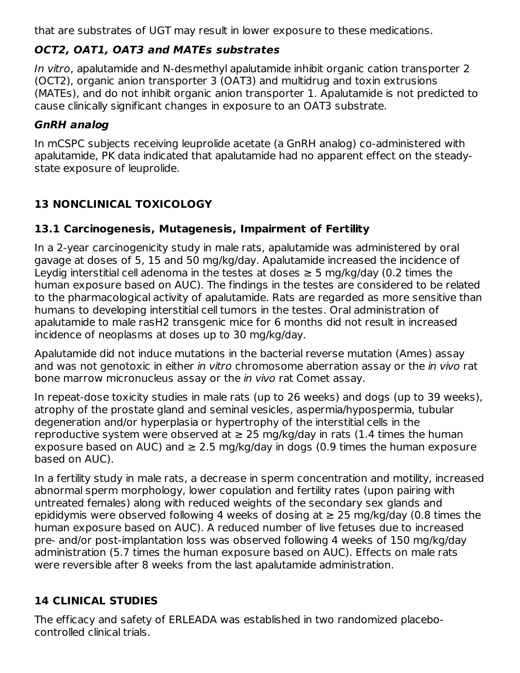that are substrates of UGT may result in lower exposure to these medications.

### **OCT2, OAT1, OAT3 and MATEs substrates**

In vitro, apalutamide and N-desmethyl apalutamide inhibit organic cation transporter 2 (OCT2), organic anion transporter 3 (OAT3) and multidrug and toxin extrusions (MATEs), and do not inhibit organic anion transporter 1. Apalutamide is not predicted to cause clinically significant changes in exposure to an OAT3 substrate.

### **GnRH analog**

In mCSPC subjects receiving leuprolide acetate (a GnRH analog) co-administered with apalutamide, PK data indicated that apalutamide had no apparent effect on the steadystate exposure of leuprolide.

# **13 NONCLINICAL TOXICOLOGY**

### **13.1 Carcinogenesis, Mutagenesis, Impairment of Fertility**

In a 2-year carcinogenicity study in male rats, apalutamide was administered by oral gavage at doses of 5, 15 and 50 mg/kg/day. Apalutamide increased the incidence of Leydig interstitial cell adenoma in the testes at doses  $\geq$  5 mg/kg/day (0.2 times the human exposure based on AUC). The findings in the testes are considered to be related to the pharmacological activity of apalutamide. Rats are regarded as more sensitive than humans to developing interstitial cell tumors in the testes. Oral administration of apalutamide to male rasH2 transgenic mice for 6 months did not result in increased incidence of neoplasms at doses up to 30 mg/kg/day.

Apalutamide did not induce mutations in the bacterial reverse mutation (Ames) assay and was not genotoxic in either in vitro chromosome aberration assay or the in vivo rat bone marrow micronucleus assay or the in vivo rat Comet assay.

In repeat-dose toxicity studies in male rats (up to 26 weeks) and dogs (up to 39 weeks), atrophy of the prostate gland and seminal vesicles, aspermia/hypospermia, tubular degeneration and/or hyperplasia or hypertrophy of the interstitial cells in the reproductive system were observed at  $\geq$  25 mg/kg/day in rats (1.4 times the human exposure based on AUC) and  $\geq$  2.5 mg/kg/day in dogs (0.9 times the human exposure based on AUC).

In a fertility study in male rats, a decrease in sperm concentration and motility, increased abnormal sperm morphology, lower copulation and fertility rates (upon pairing with untreated females) along with reduced weights of the secondary sex glands and epididymis were observed following 4 weeks of dosing at  $\geq$  25 mg/kg/day (0.8 times the human exposure based on AUC). A reduced number of live fetuses due to increased pre- and/or post-implantation loss was observed following 4 weeks of 150 mg/kg/day administration (5.7 times the human exposure based on AUC). Effects on male rats were reversible after 8 weeks from the last apalutamide administration.

### **14 CLINICAL STUDIES**

The efficacy and safety of ERLEADA was established in two randomized placebocontrolled clinical trials.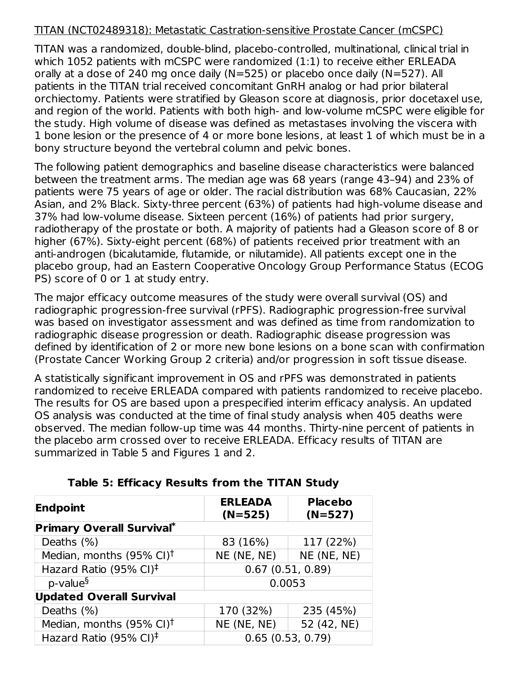#### TITAN (NCT02489318): Metastatic Castration-sensitive Prostate Cancer (mCSPC)

TITAN was a randomized, double-blind, placebo-controlled, multinational, clinical trial in which 1052 patients with mCSPC were randomized (1:1) to receive either ERLEADA orally at a dose of 240 mg once daily (N=525) or placebo once daily (N=527). All patients in the TITAN trial received concomitant GnRH analog or had prior bilateral orchiectomy. Patients were stratified by Gleason score at diagnosis, prior docetaxel use, and region of the world. Patients with both high- and low-volume mCSPC were eligible for the study. High volume of disease was defined as metastases involving the viscera with 1 bone lesion or the presence of 4 or more bone lesions, at least 1 of which must be in a bony structure beyond the vertebral column and pelvic bones.

The following patient demographics and baseline disease characteristics were balanced between the treatment arms. The median age was 68 years (range 43–94) and 23% of patients were 75 years of age or older. The racial distribution was 68% Caucasian, 22% Asian, and 2% Black. Sixty-three percent (63%) of patients had high-volume disease and 37% had low-volume disease. Sixteen percent (16%) of patients had prior surgery, radiotherapy of the prostate or both. A majority of patients had a Gleason score of 8 or higher (67%). Sixty-eight percent (68%) of patients received prior treatment with an anti-androgen (bicalutamide, flutamide, or nilutamide). All patients except one in the placebo group, had an Eastern Cooperative Oncology Group Performance Status (ECOG PS) score of 0 or 1 at study entry.

The major efficacy outcome measures of the study were overall survival (OS) and radiographic progression-free survival (rPFS). Radiographic progression-free survival was based on investigator assessment and was defined as time from randomization to radiographic disease progression or death. Radiographic disease progression was defined by identification of 2 or more new bone lesions on a bone scan with confirmation (Prostate Cancer Working Group 2 criteria) and/or progression in soft tissue disease.

A statistically significant improvement in OS and rPFS was demonstrated in patients randomized to receive ERLEADA compared with patients randomized to receive placebo. The results for OS are based upon a prespecified interim efficacy analysis. An updated OS analysis was conducted at the time of final study analysis when 405 deaths were observed. The median follow-up time was 44 months. Thirty-nine percent of patients in the placebo arm crossed over to receive ERLEADA. Efficacy results of TITAN are summarized in Table 5 and Figures 1 and 2.

| Endpoint                                               | <b>ERLEADA</b><br>$(N=525)$ | <b>Placebo</b><br>$(N=527)$ |  |
|--------------------------------------------------------|-----------------------------|-----------------------------|--|
| <b>Primary Overall Survival*</b>                       |                             |                             |  |
| Deaths (%)                                             | 83 (16%)                    | 117 (22%)                   |  |
| Median, months $(95\% \text{ Cl})^{\dagger}$           | NE (NE, NE)                 | NE (NE, NE)                 |  |
| Hazard Ratio (95% CI) <sup><math>\ddagger</math></sup> |                             | 0.67(0.51, 0.89)            |  |
| $p$ -value $\delta$                                    |                             | 0.0053                      |  |
| <b>Updated Overall Survival</b>                        |                             |                             |  |
| Deaths (%)                                             | 170 (32%)                   | 235 (45%)                   |  |
| Median, months $(95\% \text{ Cl})^{\dagger}$           | NE (NE, NE)<br>52 (42, NE)  |                             |  |
| Hazard Ratio (95% CI) <sup><math>\ddagger</math></sup> | 0.65(0.53, 0.79)            |                             |  |

#### **Table 5: Efficacy Results from the TITAN Study**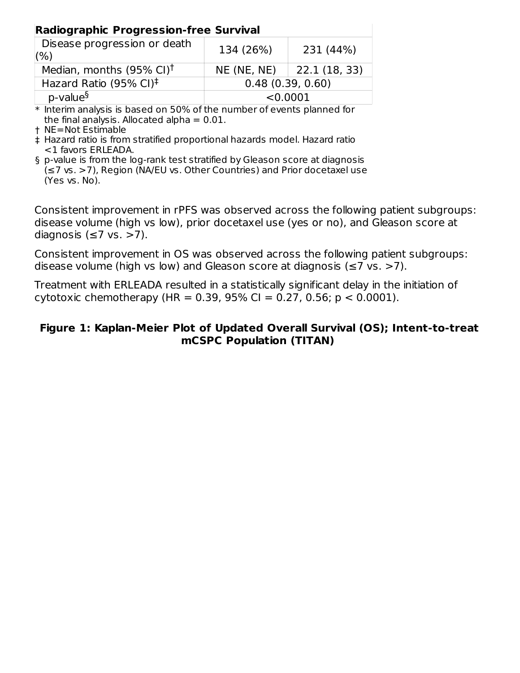| <b>Radiographic Progression-free Survival</b>                  |                  |                               |  |  |  |  |
|----------------------------------------------------------------|------------------|-------------------------------|--|--|--|--|
| Disease progression or death<br>134 (26%)<br>231 (44%)<br>(% ) |                  |                               |  |  |  |  |
| Median, months $(95\% \text{ Cl})^{\dagger}$                   |                  | $NE (NE, NE)$   22.1 (18, 33) |  |  |  |  |
| Hazard Ratio (95% CI) <sup>‡</sup>                             | 0.48(0.39, 0.60) |                               |  |  |  |  |
| p-value <sup>§</sup>                                           | < 0.0001         |                               |  |  |  |  |

 $\ast$  Interim analysis is based on 50% of the number of events planned for the final analysis. Allocated alpha  $= 0.01$ .

† NE=Not Estimable

‡ Hazard ratio is from stratified proportional hazards model. Hazard ratio <1 favors ERLEADA.

§ p-value is from the log-rank test stratified by Gleason score at diagnosis (≤7 vs. >7), Region (NA/EU vs. Other Countries) and Prior docetaxel use (Yes vs. No).

Consistent improvement in rPFS was observed across the following patient subgroups: disease volume (high vs low), prior docetaxel use (yes or no), and Gleason score at diagnosis ( $\leq$ 7 vs. >7).

Consistent improvement in OS was observed across the following patient subgroups: disease volume (high vs low) and Gleason score at diagnosis ( $\leq$ 7 vs. >7).

Treatment with ERLEADA resulted in a statistically significant delay in the initiation of cytotoxic chemotherapy (HR = 0.39, 95% CI = 0.27, 0.56;  $p < 0.0001$ ).

#### **Figure 1: Kaplan-Meier Plot of Updated Overall Survival (OS); Intent-to-treat mCSPC Population (TITAN)**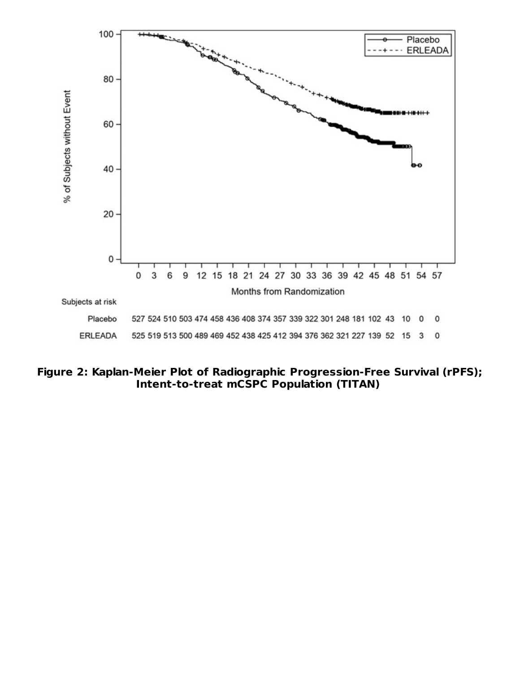

**Figure 2: Kaplan-Meier Plot of Radiographic Progression-Free Survival (rPFS); Intent-to-treat mCSPC Population (TITAN)**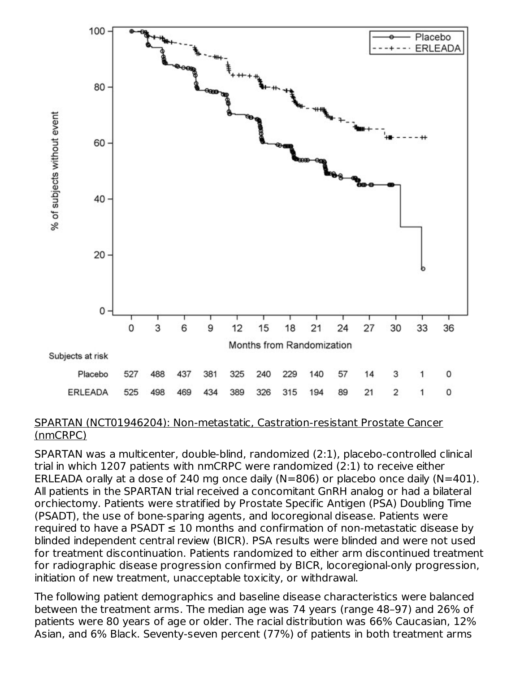

#### SPARTAN (NCT01946204): Non-metastatic, Castration-resistant Prostate Cancer (nmCRPC)

SPARTAN was a multicenter, double-blind, randomized (2:1), placebo-controlled clinical trial in which 1207 patients with nmCRPC were randomized (2:1) to receive either ERLEADA orally at a dose of 240 mg once daily (N=806) or placebo once daily (N=401). All patients in the SPARTAN trial received a concomitant GnRH analog or had a bilateral orchiectomy. Patients were stratified by Prostate Specific Antigen (PSA) Doubling Time (PSADT), the use of bone-sparing agents, and locoregional disease. Patients were required to have a PSADT  $\leq 10$  months and confirmation of non-metastatic disease by blinded independent central review (BICR). PSA results were blinded and were not used for treatment discontinuation. Patients randomized to either arm discontinued treatment for radiographic disease progression confirmed by BICR, locoregional-only progression, initiation of new treatment, unacceptable toxicity, or withdrawal.

The following patient demographics and baseline disease characteristics were balanced between the treatment arms. The median age was 74 years (range 48–97) and 26% of patients were 80 years of age or older. The racial distribution was 66% Caucasian, 12% Asian, and 6% Black. Seventy-seven percent (77%) of patients in both treatment arms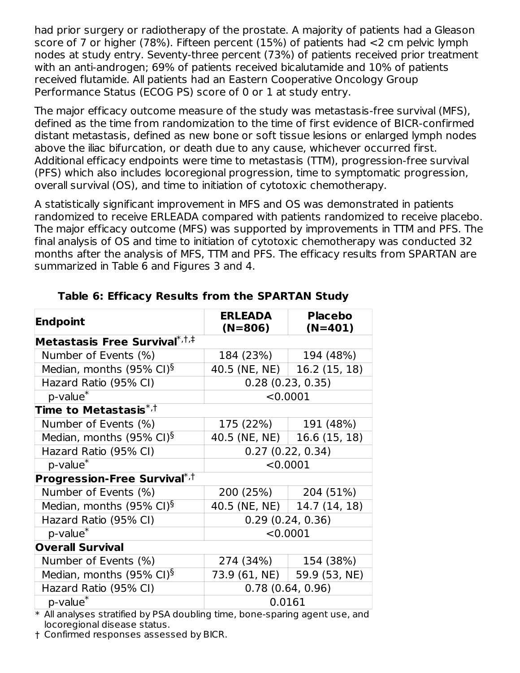had prior surgery or radiotherapy of the prostate. A majority of patients had a Gleason score of 7 or higher (78%). Fifteen percent (15%) of patients had <2 cm pelvic lymph nodes at study entry. Seventy-three percent (73%) of patients received prior treatment with an anti-androgen; 69% of patients received bicalutamide and 10% of patients received flutamide. All patients had an Eastern Cooperative Oncology Group Performance Status (ECOG PS) score of 0 or 1 at study entry.

The major efficacy outcome measure of the study was metastasis-free survival (MFS), defined as the time from randomization to the time of first evidence of BICR-confirmed distant metastasis, defined as new bone or soft tissue lesions or enlarged lymph nodes above the iliac bifurcation, or death due to any cause, whichever occurred first. Additional efficacy endpoints were time to metastasis (TTM), progression-free survival (PFS) which also includes locoregional progression, time to symptomatic progression, overall survival (OS), and time to initiation of cytotoxic chemotherapy.

A statistically significant improvement in MFS and OS was demonstrated in patients randomized to receive ERLEADA compared with patients randomized to receive placebo. The major efficacy outcome (MFS) was supported by improvements in TTM and PFS. The final analysis of OS and time to initiation of cytotoxic chemotherapy was conducted 32 months after the analysis of MFS, TTM and PFS. The efficacy results from SPARTAN are summarized in Table 6 and Figures 3 and 4.

| <b>Endpoint</b>                                       | <b>ERLEADA</b><br>$(N=806)$   | <b>Placebo</b><br>$(N=401)$   |  |
|-------------------------------------------------------|-------------------------------|-------------------------------|--|
| Metastasis Free Survival $^{\ast ,\dagger ,\ddagger}$ |                               |                               |  |
| Number of Events (%)                                  | 184 (23%)                     | 194 (48%)                     |  |
| Median, months $(95\% \text{ Cl})^{\S}$               | 40.5 (NE, NE) $\vert$         | 16.2 (15, 18)                 |  |
| Hazard Ratio (95% CI)                                 |                               | 0.28(0.23, 0.35)              |  |
| p-value <sup>*</sup>                                  |                               | < 0.0001                      |  |
| Time to Metastasis $^{\ast ,\dagger}$                 |                               |                               |  |
| Number of Events (%)                                  | 175(22%)                      | 191 (48%)                     |  |
| Median, months (95% CI) <sup>§</sup>                  | 40.5 (NE, NE)   16.6 (15, 18) |                               |  |
| Hazard Ratio (95% CI)                                 | 0.27(0.22, 0.34)              |                               |  |
| $p$ -value $*$                                        |                               | < 0.0001                      |  |
| <b>Progression-Free Survival</b> $^{\ast,\dagger}$    |                               |                               |  |
| Number of Events (%)                                  | 200 (25%)                     | 204 (51%)                     |  |
| Median, months $(95\% \text{ Cl})^{\S}$               | 40.5 (NE, NE)   14.7 (14, 18) |                               |  |
| Hazard Ratio (95% CI)                                 |                               | 0.29(0.24, 0.36)              |  |
| $p$ -value $*$                                        |                               | < 0.0001                      |  |
| <b>Overall Survival</b>                               |                               |                               |  |
| Number of Events (%)                                  | 274 (34%)                     | 154 (38%)                     |  |
| Median, months $(95\% \text{ Cl})^{\S}$               |                               | 73.9 (61, NE)   59.9 (53, NE) |  |
| Hazard Ratio (95% CI)                                 |                               | 0.78(0.64, 0.96)              |  |
| p-value <sup>*</sup>                                  | 0.0161                        |                               |  |

**Table 6: Efficacy Results from the SPARTAN Study**

\* All analyses stratified by PSA doubling time, bone-sparing agent use, and locoregional disease status.

† Confirmed responses assessed by BICR.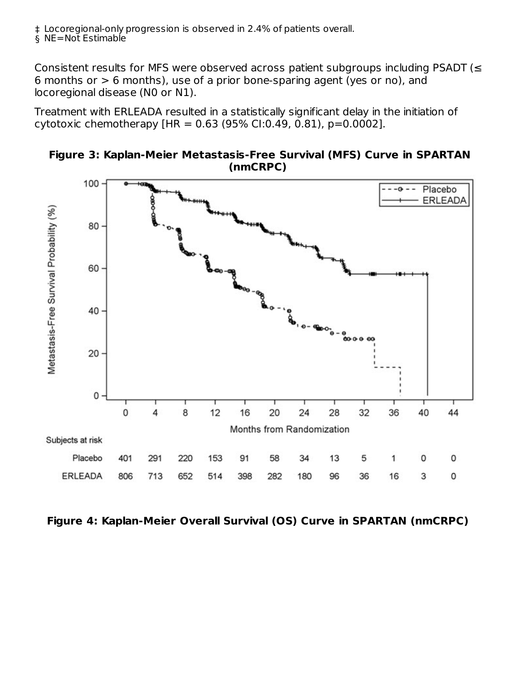† ‡ Locoregional-only progression is observed in 2.4% of patients overall.

§ NE=Not Estimable

Consistent results for MFS were observed across patient subgroups including PSADT ( $\leq$ 6 months or  $> 6$  months), use of a prior bone-sparing agent (yes or no), and locoregional disease (N0 or N1).

Treatment with ERLEADA resulted in a statistically significant delay in the initiation of cytotoxic chemotherapy  $[HR = 0.63 (95\% CI:0.49, 0.81), p=0.0002]$ .



**Figure 3: Kaplan-Meier Metastasis-Free Survival (MFS) Curve in SPARTAN (nmCRPC)**

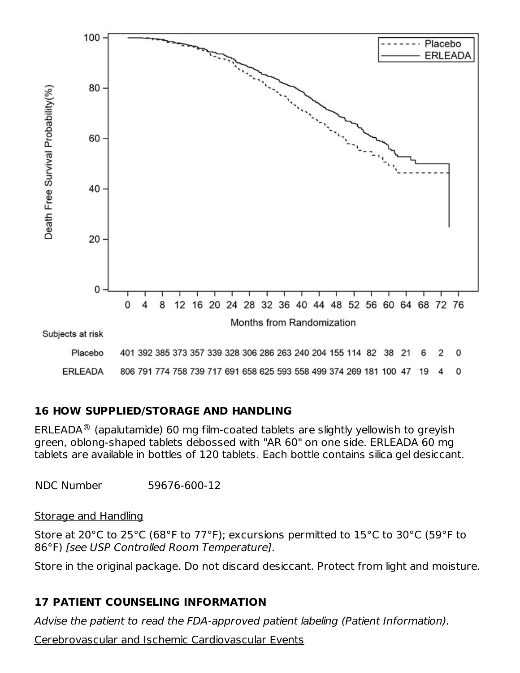

#### **16 HOW SUPPLIED/STORAGE AND HANDLING**

ERLEADA $^{\circledR}$  (apalutamide) 60 mg film-coated tablets are slightly yellowish to greyish green, oblong-shaped tablets debossed with "AR 60" on one side. ERLEADA 60 mg tablets are available in bottles of 120 tablets. Each bottle contains silica gel desiccant.

NDC Number 59676-600-12

#### Storage and Handling

Store at 20°C to 25°C (68°F to 77°F); excursions permitted to 15°C to 30°C (59°F to 86°F) [see USP Controlled Room Temperature].

Store in the original package. Do not discard desiccant. Protect from light and moisture.

#### **17 PATIENT COUNSELING INFORMATION**

Advise the patient to read the FDA-approved patient labeling (Patient Information).

Cerebrovascular and Ischemic Cardiovascular Events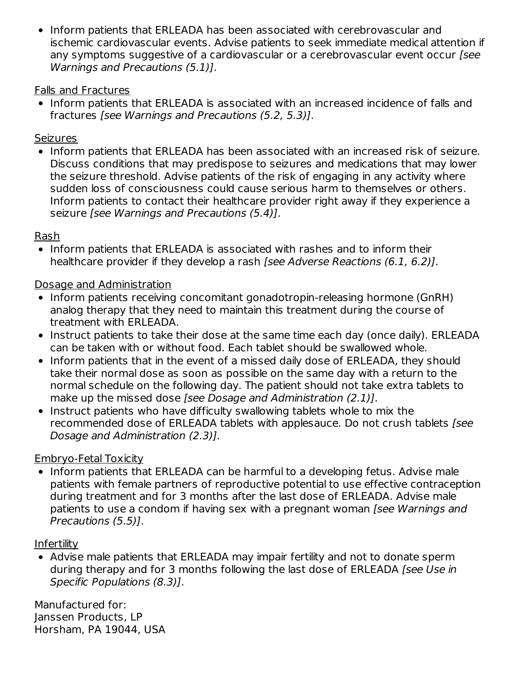• Inform patients that ERLEADA has been associated with cerebrovascular and ischemic cardiovascular events. Advise patients to seek immediate medical attention if any symptoms suggestive of a cardiovascular or a cerebrovascular event occur (see Warnings and Precautions (5.1)].

#### Falls and Fractures

• Inform patients that ERLEADA is associated with an increased incidence of falls and fractures [see Warnings and Precautions (5.2, 5.3)].

#### **Seizures**

• Inform patients that ERLEADA has been associated with an increased risk of seizure. Discuss conditions that may predispose to seizures and medications that may lower the seizure threshold. Advise patients of the risk of engaging in any activity where sudden loss of consciousness could cause serious harm to themselves or others. Inform patients to contact their healthcare provider right away if they experience a seizure [see Warnings and Precautions (5.4)].

#### Rash

• Inform patients that ERLEADA is associated with rashes and to inform their healthcare provider if they develop a rash [see Adverse Reactions (6.1, 6.2)].

#### Dosage and Administration

- Inform patients receiving concomitant gonadotropin-releasing hormone (GnRH) analog therapy that they need to maintain this treatment during the course of treatment with ERLEADA.
- Instruct patients to take their dose at the same time each day (once daily). ERLEADA can be taken with or without food. Each tablet should be swallowed whole.
- Inform patients that in the event of a missed daily dose of ERLEADA, they should take their normal dose as soon as possible on the same day with a return to the normal schedule on the following day. The patient should not take extra tablets to make up the missed dose [see Dosage and Administration (2.1)].
- Instruct patients who have difficulty swallowing tablets whole to mix the recommended dose of ERLEADA tablets with applesauce. Do not crush tablets [see Dosage and Administration (2.3)].

#### Embryo-Fetal Toxicity

• Inform patients that ERLEADA can be harmful to a developing fetus. Advise male patients with female partners of reproductive potential to use effective contraception during treatment and for 3 months after the last dose of ERLEADA. Advise male patients to use a condom if having sex with a pregnant woman [see Warnings and Precautions (5.5)].

#### Infertility

Advise male patients that ERLEADA may impair fertility and not to donate sperm during therapy and for 3 months following the last dose of ERLEADA [see Use in Specific Populations (8.3)].

Manufactured for: Janssen Products, LP Horsham, PA 19044, USA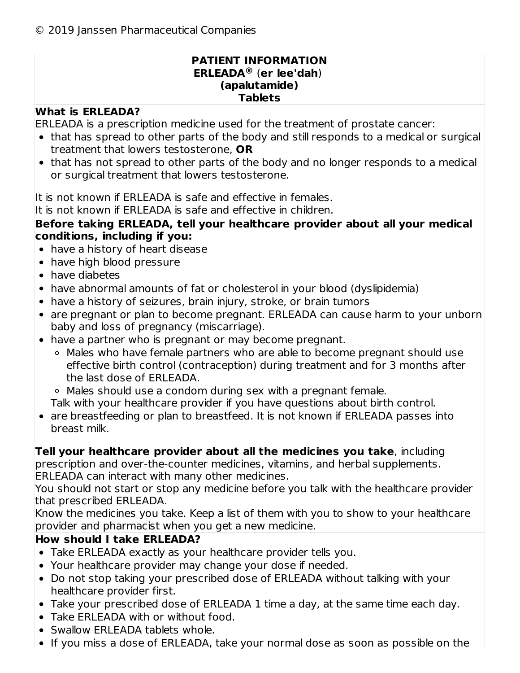#### **PATIENT INFORMATION ERLEADA** (**er lee'dah**) **®(apalutamide) Tablets**

### **What is ERLEADA?**

ERLEADA is a prescription medicine used for the treatment of prostate cancer:

- that has spread to other parts of the body and still responds to a medical or surgical treatment that lowers testosterone, **OR**
- that has not spread to other parts of the body and no longer responds to a medical or surgical treatment that lowers testosterone.

It is not known if ERLEADA is safe and effective in females.

It is not known if ERLEADA is safe and effective in children.

#### **Before taking ERLEADA, tell your healthcare provider about all your medical conditions, including if you:**

- have a history of heart disease
- have high blood pressure
- have diabetes
- have abnormal amounts of fat or cholesterol in your blood (dyslipidemia)
- have a history of seizures, brain injury, stroke, or brain tumors
- are pregnant or plan to become pregnant. ERLEADA can cause harm to your unborn baby and loss of pregnancy (miscarriage).
- have a partner who is pregnant or may become pregnant.
	- Males who have female partners who are able to become pregnant should use effective birth control (contraception) during treatment and for 3 months after the last dose of ERLEADA.

Males should use a condom during sex with a pregnant female.

- Talk with your healthcare provider if you have questions about birth control.
- are breastfeeding or plan to breastfeed. It is not known if ERLEADA passes into breast milk.

### **Tell your healthcare provider about all the medicines you take**, including

prescription and over-the-counter medicines, vitamins, and herbal supplements. ERLEADA can interact with many other medicines.

You should not start or stop any medicine before you talk with the healthcare provider that prescribed ERLEADA.

Know the medicines you take. Keep a list of them with you to show to your healthcare provider and pharmacist when you get a new medicine.

### **How should I take ERLEADA?**

- Take ERLEADA exactly as your healthcare provider tells you.
- Your healthcare provider may change your dose if needed.
- Do not stop taking your prescribed dose of ERLEADA without talking with your healthcare provider first.
- Take your prescribed dose of ERLEADA 1 time a day, at the same time each day.
- Take ERLEADA with or without food.
- Swallow ERLEADA tablets whole.
- If you miss a dose of ERLEADA, take your normal dose as soon as possible on the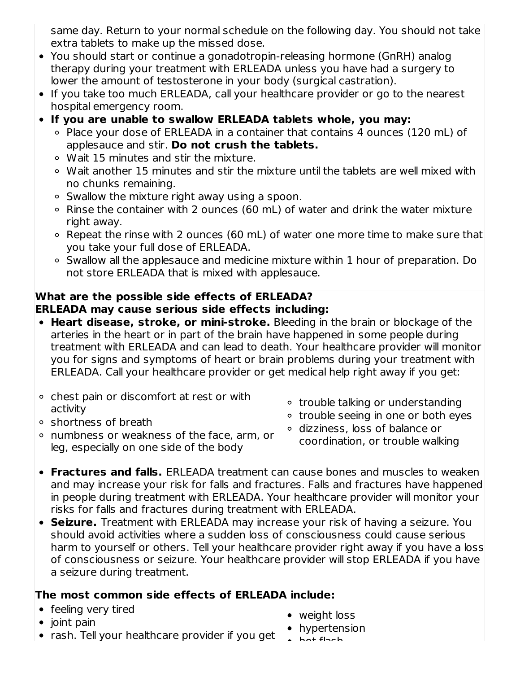same day. Return to your normal schedule on the following day. You should not take extra tablets to make up the missed dose.

- You should start or continue a gonadotropin-releasing hormone (GnRH) analog therapy during your treatment with ERLEADA unless you have had a surgery to lower the amount of testosterone in your body (surgical castration).
- If you take too much ERLEADA, call your healthcare provider or go to the nearest hospital emergency room.
- **If you are unable to swallow ERLEADA tablets whole, you may:**
	- Place your dose of ERLEADA in a container that contains 4 ounces (120 mL) of applesauce and stir. **Do not crush the tablets.**
	- Wait 15 minutes and stir the mixture.
	- Wait another 15 minutes and stir the mixture until the tablets are well mixed with no chunks remaining.
	- Swallow the mixture right away using a spoon.
	- Rinse the container with 2 ounces (60 mL) of water and drink the water mixture right away.
	- Repeat the rinse with 2 ounces (60 mL) of water one more time to make sure that you take your full dose of ERLEADA.
	- Swallow all the applesauce and medicine mixture within 1 hour of preparation. Do not store ERLEADA that is mixed with applesauce.

### **What are the possible side effects of ERLEADA? ERLEADA may cause serious side effects including:**

- **Heart disease, stroke, or mini-stroke.** Bleeding in the brain or blockage of the arteries in the heart or in part of the brain have happened in some people during treatment with ERLEADA and can lead to death. Your healthcare provider will monitor you for signs and symptoms of heart or brain problems during your treatment with ERLEADA. Call your healthcare provider or get medical help right away if you get:
- chest pain or discomfort at rest or with activity
- trouble talking or understanding
- trouble seeing in one or both eyes
- shortness of breath
- numbness or weakness of the face, arm, or leg, especially on one side of the body
- dizziness, loss of balance or coordination, or trouble walking
- **Fractures and falls.** ERLEADA treatment can cause bones and muscles to weaken and may increase your risk for falls and fractures. Falls and fractures have happened in people during treatment with ERLEADA. Your healthcare provider will monitor your risks for falls and fractures during treatment with ERLEADA.
- **Seizure.** Treatment with ERLEADA may increase your risk of having a seizure. You should avoid activities where a sudden loss of consciousness could cause serious harm to yourself or others. Tell your healthcare provider right away if you have a loss of consciousness or seizure. Your healthcare provider will stop ERLEADA if you have a seizure during treatment.

### **The most common side effects of ERLEADA include:**

- feeling very tired
- $\bullet$  ioint pain
- rash. Tell your healthcare provider if you get a line flach
- weight loss
- hypertension
	-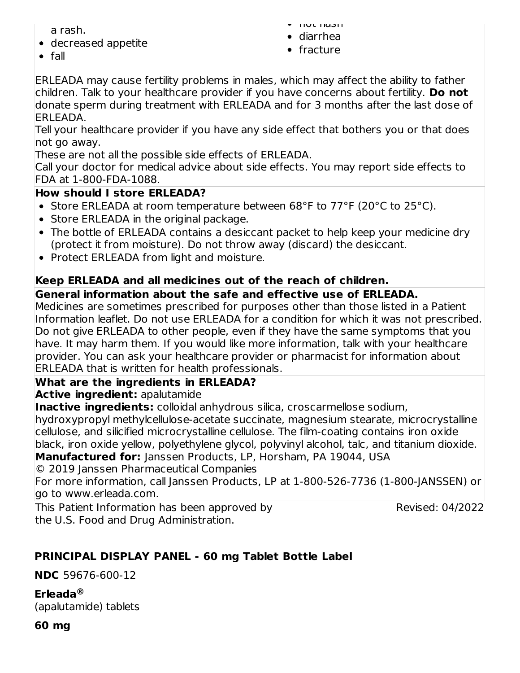a rash.

decreased appetite

- hot flash
- diarrhea
- fracture

 $\bullet$  fall

ERLEADA may cause fertility problems in males, which may affect the ability to father children. Talk to your healthcare provider if you have concerns about fertility. **Do not** donate sperm during treatment with ERLEADA and for 3 months after the last dose of ERLEADA.

Tell your healthcare provider if you have any side effect that bothers you or that does not go away.

These are not all the possible side effects of ERLEADA.

Call your doctor for medical advice about side effects. You may report side effects to FDA at 1-800-FDA-1088.

### **How should I store ERLEADA?**

- Store ERLEADA at room temperature between 68°F to 77°F (20°C to 25°C).
- Store ERLEADA in the original package.
- The bottle of ERLEADA contains a desiccant packet to help keep your medicine dry (protect it from moisture). Do not throw away (discard) the desiccant.
- Protect ERLEADA from light and moisture.

# **Keep ERLEADA and all medicines out of the reach of children.**

# **General information about the safe and effective use of ERLEADA.**

Medicines are sometimes prescribed for purposes other than those listed in a Patient Information leaflet. Do not use ERLEADA for a condition for which it was not prescribed. Do not give ERLEADA to other people, even if they have the same symptoms that you have. It may harm them. If you would like more information, talk with your healthcare provider. You can ask your healthcare provider or pharmacist for information about ERLEADA that is written for health professionals.

### **What are the ingredients in ERLEADA?**

**Active ingredient:** apalutamide

**Inactive ingredients:** colloidal anhydrous silica, croscarmellose sodium,

hydroxypropyl methylcellulose-acetate succinate, magnesium stearate, microcrystalline cellulose, and silicified microcrystalline cellulose. The film-coating contains iron oxide black, iron oxide yellow, polyethylene glycol, polyvinyl alcohol, talc, and titanium dioxide. **Manufactured for:** Janssen Products, LP, Horsham, PA 19044, USA

© 2019 Janssen Pharmaceutical Companies

For more information, call Janssen Products, LP at 1-800-526-7736 (1-800-JANSSEN) or go to www.erleada.com.

This Patient Information has been approved by the U.S. Food and Drug Administration.

Revised: 04/2022

# **PRINCIPAL DISPLAY PANEL - 60 mg Tablet Bottle Label**

**NDC** 59676-600-12

**Erleada ®**(apalutamide) tablets

**60 mg**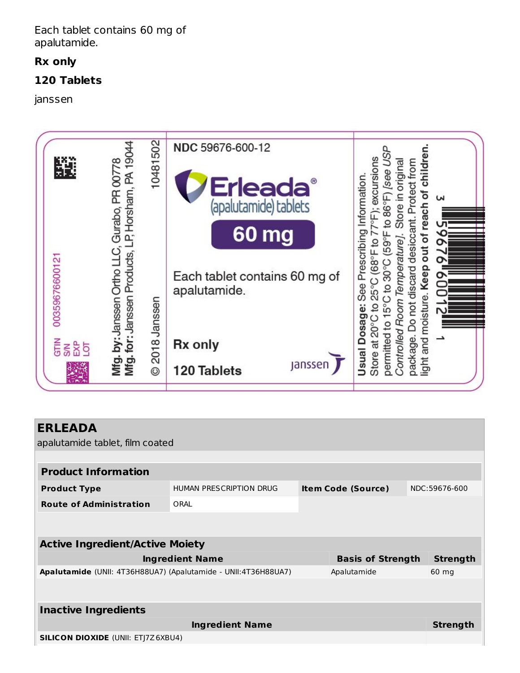Each tablet contains 60 mg of apalutamide.

#### **Rx only**

#### **120 Tablets**

janssen



| <b>ERLEADA</b><br>apalutamide tablet, film coated              |                         |                           |                 |
|----------------------------------------------------------------|-------------------------|---------------------------|-----------------|
|                                                                |                         |                           |                 |
| <b>Product Information</b>                                     |                         |                           |                 |
| <b>Product Type</b>                                            | HUMAN PRESCRIPTION DRUG | <b>Item Code (Source)</b> | NDC:59676-600   |
| <b>Route of Administration</b>                                 | ORAL                    |                           |                 |
|                                                                |                         |                           |                 |
| <b>Active Ingredient/Active Moiety</b>                         |                         |                           |                 |
|                                                                | <b>Ingredient Name</b>  | <b>Basis of Strength</b>  | <b>Strength</b> |
| Apalutamide (UNII: 4T36H88UA7) (Apalutamide - UNII:4T36H88UA7) |                         | Apalutamide               | 60 mg           |
|                                                                |                         |                           |                 |
| <b>Inactive Ingredients</b>                                    |                         |                           |                 |
|                                                                | <b>Ingredient Name</b>  |                           | <b>Strength</b> |
| <b>SILICON DIOXIDE (UNII: ETJ7Z6XBU4)</b>                      |                         |                           |                 |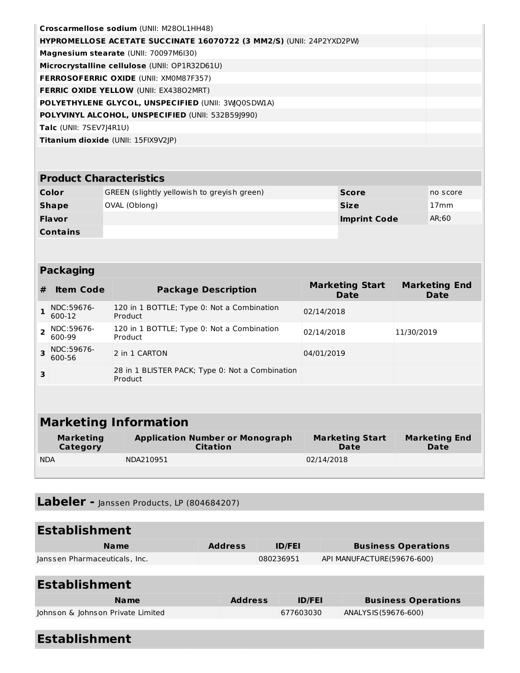| Croscarmellose sodium (UNII: M280L1HH48)                             |  |
|----------------------------------------------------------------------|--|
| HYPROMELLOSE ACETATE SUCCINATE 16070722 (3 MM2/S) (UNII: 24P2YXD2PW) |  |
| Magnesium stearate (UNII: 70097M6I30)                                |  |
| Microcrystalline cellulose (UNII: OP1R32D61U)                        |  |
| <b>FERROSOFERRIC OXIDE (UNII: XMOM87F357)</b>                        |  |
| <b>FERRIC OXIDE YELLOW (UNII: EX43802MRT)</b>                        |  |
| POLYETHYLENE GLYCOL, UNSPECIFIED (UNII: 3WO0SDWIA)                   |  |
| POLYVINYL ALCOHOL, UNSPECIFIED (UNII: 532B59 990)                    |  |
| <b>Talc</b> (UNII: 7SEV7J4R1U)                                       |  |
| <b>Titanium dioxide (UNII: 15FIX9V2JP)</b>                           |  |

#### **Product Characteristics**

| Color           | GREEN (slightly yellowish to greyish green) | <b>Score</b>        | no score |
|-----------------|---------------------------------------------|---------------------|----------|
| Shape           | OVAL (Oblong)                               | <b>Size</b>         | ้ 17mm   |
| <b>Flavor</b>   |                                             | <b>Imprint Code</b> | AR;60    |
| <b>Contains</b> |                                             |                     |          |

#### **Packaging**

| #                            | <b>Item Code</b>     | <b>Package Description</b>                                 | <b>Marketing Start</b><br><b>Date</b> | <b>Marketing End</b><br>Date |  |  |
|------------------------------|----------------------|------------------------------------------------------------|---------------------------------------|------------------------------|--|--|
|                              | NDC:59676-<br>600-12 | 120 in 1 BOTTLE; Type 0: Not a Combination<br>Product      | 02/14/2018                            |                              |  |  |
|                              | NDC:59676-<br>600-99 | 120 in 1 BOTTLE; Type 0: Not a Combination<br>Product      | 02/14/2018                            | 11/30/2019                   |  |  |
|                              | NDC:59676-<br>600-56 | 2 in 1 CARTON                                              | 04/01/2019                            |                              |  |  |
| 3                            |                      | 28 in 1 BLISTER PACK; Type 0: Not a Combination<br>Product |                                       |                              |  |  |
|                              |                      |                                                            |                                       |                              |  |  |
| <b>Marketing Information</b> |                      |                                                            |                                       |                              |  |  |
|                              | <b>Marketing</b>     | <b>Application Number or Monograph</b>                     | <b>Marketing Start</b>                | <b>Marketing End</b>         |  |  |

| Category   | $\sim$<br>Citation | .<br>Date  | <b>Date</b> |
|------------|--------------------|------------|-------------|
| <b>NDA</b> | NDA210951          | 02/14/2018 |             |
|            |                    |            |             |

# **Labeler -** Janssen Products, LP (804684207)

| <b>Establishment</b>              |                |           |               |  |                            |
|-----------------------------------|----------------|-----------|---------------|--|----------------------------|
| <b>Name</b>                       | <b>Address</b> |           | <b>ID/FEI</b> |  | <b>Business Operations</b> |
| Janssen Pharmaceuticals, Inc.     |                | 080236951 |               |  | API MANUFACTURE(59676-600) |
|                                   |                |           |               |  |                            |
| <b>Establishment</b>              |                |           |               |  |                            |
| <b>Name</b>                       | <b>Address</b> |           | <b>ID/FEI</b> |  | <b>Business Operations</b> |
| Johnson & Johnson Private Limited |                |           | 677603030     |  | ANALYSIS (59676-600)       |

# **Establishment**